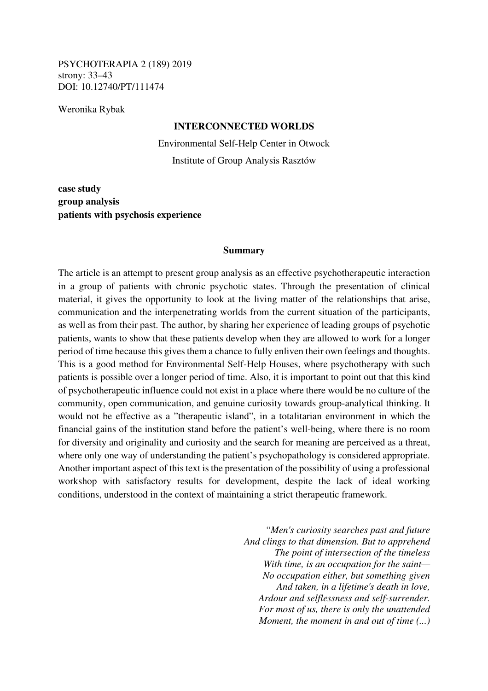PSYCHOTERAPIA 2 (189) 2019 strony: 33–43 DOI: 10.12740/PT/111474

Weronika Rybak

### **INTERCONNECTED WORLDS**

Environmental Self-Help Center in Otwock Institute of Group Analysis Rasztów

**case study group analysis patients with psychosis experience** 

### **Summary**

The article is an attempt to present group analysis as an effective psychotherapeutic interaction in a group of patients with chronic psychotic states. Through the presentation of clinical material, it gives the opportunity to look at the living matter of the relationships that arise, communication and the interpenetrating worlds from the current situation of the participants, as well as from their past. The author, by sharing her experience of leading groups of psychotic patients, wants to show that these patients develop when they are allowed to work for a longer period of time because this gives them a chance to fully enliven their own feelings and thoughts. This is a good method for Environmental Self-Help Houses, where psychotherapy with such patients is possible over a longer period of time. Also, it is important to point out that this kind of psychotherapeutic influence could not exist in a place where there would be no culture of the community, open communication, and genuine curiosity towards group-analytical thinking. It would not be effective as a "therapeutic island", in a totalitarian environment in which the financial gains of the institution stand before the patient's well-being, where there is no room for diversity and originality and curiosity and the search for meaning are perceived as a threat, where only one way of understanding the patient's psychopathology is considered appropriate. Another important aspect of this text is the presentation of the possibility of using a professional workshop with satisfactory results for development, despite the lack of ideal working conditions, understood in the context of maintaining a strict therapeutic framework.

> *"Men's curiosity searches past and future And clings to that dimension. But to apprehend The point of intersection of the timeless With time, is an occupation for the saint— No occupation either, but something given And taken, in a lifetime's death in love, Ardour and selflessness and self-surrender. For most of us, there is only the unattended Moment, the moment in and out of time (...)*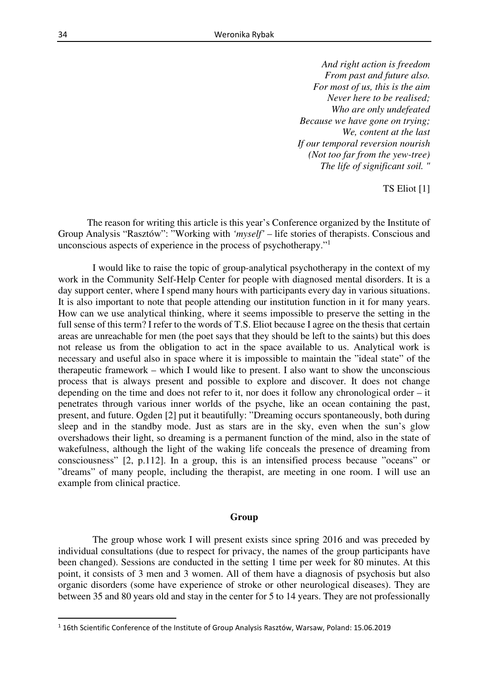*And right action is freedom From past and future also. For most of us, this is the aim Never here to be realised; Who are only undefeated Because we have gone on trying; We, content at the last If our temporal reversion nourish (Not too far from the yew-tree) The life of significant soil. "* 

TS Eliot [1]

The reason for writing this article is this year's Conference organized by the Institute of Group Analysis "Rasztów": "Working with *'myself'* – life stories of therapists. Conscious and unconscious aspects of experience in the process of psychotherapy."<sup>1</sup>

 I would like to raise the topic of group-analytical psychotherapy in the context of my work in the Community Self-Help Center for people with diagnosed mental disorders. It is a day support center, where I spend many hours with participants every day in various situations. It is also important to note that people attending our institution function in it for many years. How can we use analytical thinking, where it seems impossible to preserve the setting in the full sense of this term? I refer to the words of T.S. Eliot because I agree on the thesis that certain areas are unreachable for men (the poet says that they should be left to the saints) but this does not release us from the obligation to act in the space available to us. Analytical work is necessary and useful also in space where it is impossible to maintain the "ideal state" of the therapeutic framework – which I would like to present. I also want to show the unconscious process that is always present and possible to explore and discover. It does not change depending on the time and does not refer to it, nor does it follow any chronological order – it penetrates through various inner worlds of the psyche, like an ocean containing the past, present, and future. Ogden [2] put it beautifully: "Dreaming occurs spontaneously, both during sleep and in the standby mode. Just as stars are in the sky, even when the sun's glow overshadows their light, so dreaming is a permanent function of the mind, also in the state of wakefulness, although the light of the waking life conceals the presence of dreaming from consciousness" [2, p.112]. In a group, this is an intensified process because "oceans" or "dreams" of many people, including the therapist, are meeting in one room. I will use an example from clinical practice.

#### **Group**

 The group whose work I will present exists since spring 2016 and was preceded by individual consultations (due to respect for privacy, the names of the group participants have been changed). Sessions are conducted in the setting 1 time per week for 80 minutes. At this point, it consists of 3 men and 3 women. All of them have a diagnosis of psychosis but also organic disorders (some have experience of stroke or other neurological diseases). They are between 35 and 80 years old and stay in the center for 5 to 14 years. They are not professionally

 $<sup>1</sup>$  16th Scientific Conference of the Institute of Group Analysis Rasztów, Warsaw, Poland: 15.06.2019</sup>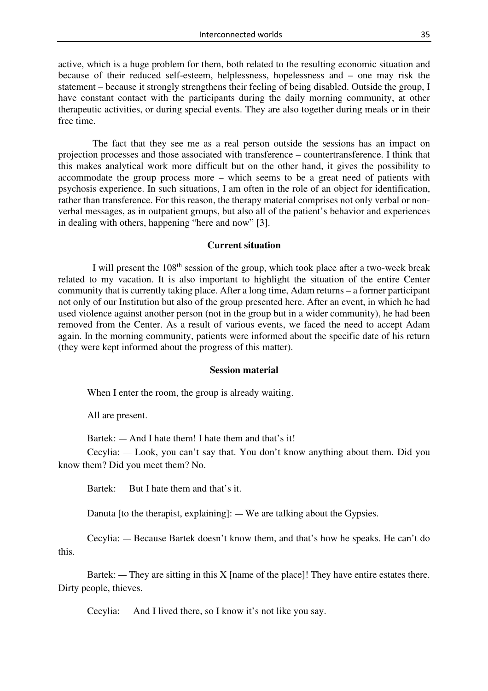active, which is a huge problem for them, both related to the resulting economic situation and because of their reduced self-esteem, helplessness, hopelessness and – one may risk the statement – because it strongly strengthens their feeling of being disabled. Outside the group, I have constant contact with the participants during the daily morning community, at other therapeutic activities, or during special events. They are also together during meals or in their free time.

 The fact that they see me as a real person outside the sessions has an impact on projection processes and those associated with transference – countertransference. I think that this makes analytical work more difficult but on the other hand, it gives the possibility to accommodate the group process more – which seems to be a great need of patients with psychosis experience. In such situations, I am often in the role of an object for identification, rather than transference. For this reason, the therapy material comprises not only verbal or nonverbal messages, as in outpatient groups, but also all of the patient's behavior and experiences in dealing with others, happening "here and now" [3].

# **Current situation**

I will present the  $108<sup>th</sup>$  session of the group, which took place after a two-week break related to my vacation. It is also important to highlight the situation of the entire Center community that is currently taking place. After a long time, Adam returns – a former participant not only of our Institution but also of the group presented here. After an event, in which he had used violence against another person (not in the group but in a wider community), he had been removed from the Center. As a result of various events, we faced the need to accept Adam again. In the morning community, patients were informed about the specific date of his return (they were kept informed about the progress of this matter).

### **Session material**

When I enter the room, the group is already waiting.

All are present.

Bartek: — And I hate them! I hate them and that's it!

Cecylia: — Look, you can't say that. You don't know anything about them. Did you know them? Did you meet them? No.

Bartek: — But I hate them and that's it.

Danuta [to the therapist, explaining]: — We are talking about the Gypsies.

Cecylia: — Because Bartek doesn't know them, and that's how he speaks. He can't do this.

Bartek:  $-$  They are sitting in this X [name of the place]! They have entire estates there. Dirty people, thieves.

Cecylia: — And I lived there, so I know it's not like you say.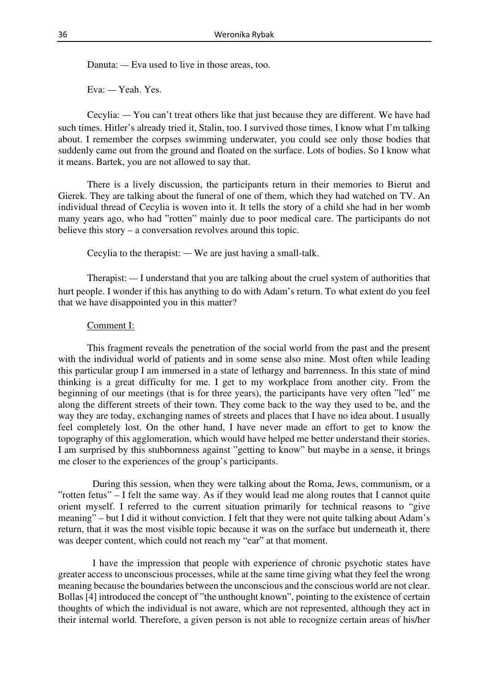Danuta: — Eva used to live in those areas, too.

Eva: — Yeah. Yes.

Cecylia: — You can't treat others like that just because they are different. We have had such times. Hitler's already tried it, Stalin, too. I survived those times, I know what I'm talking about. I remember the corpses swimming underwater, you could see only those bodies that suddenly came out from the ground and floated on the surface. Lots of bodies. So I know what it means. Bartek, you are not allowed to say that.

There is a lively discussion, the participants return in their memories to Bierut and Gierek. They are talking about the funeral of one of them, which they had watched on TV. An individual thread of Cecylia is woven into it. It tells the story of a child she had in her womb many years ago, who had "rotten" mainly due to poor medical care. The participants do not believe this story – a conversation revolves around this topic.

Cecylia to the therapist: — We are just having a small-talk.

Therapist: — I understand that you are talking about the cruel system of authorities that hurt people. I wonder if this has anything to do with Adam's return. To what extent do you feel that we have disappointed you in this matter?

### Comment I:

This fragment reveals the penetration of the social world from the past and the present with the individual world of patients and in some sense also mine. Most often while leading this particular group I am immersed in a state of lethargy and barrenness. In this state of mind thinking is a great difficulty for me. I get to my workplace from another city. From the beginning of our meetings (that is for three years), the participants have very often "led" me along the different streets of their town. They come back to the way they used to be, and the way they are today, exchanging names of streets and places that I have no idea about. I usually feel completely lost. On the other hand, I have never made an effort to get to know the topography of this agglomeration, which would have helped me better understand their stories. I am surprised by this stubbornness against "getting to know" but maybe in a sense, it brings me closer to the experiences of the group's participants.

 During this session, when they were talking about the Roma, Jews, communism, or a "rotten fetus" – I felt the same way. As if they would lead me along routes that I cannot quite orient myself. I referred to the current situation primarily for technical reasons to "give meaning" – but I did it without conviction. I felt that they were not quite talking about Adam's return, that it was the most visible topic because it was on the surface but underneath it, there was deeper content, which could not reach my "ear" at that moment.

 I have the impression that people with experience of chronic psychotic states have greater access to unconscious processes, while at the same time giving what they feel the wrong meaning because the boundaries between the unconscious and the conscious world are not clear. Bollas [4] introduced the concept of "the unthought known", pointing to the existence of certain thoughts of which the individual is not aware, which are not represented, although they act in their internal world. Therefore, a given person is not able to recognize certain areas of his/her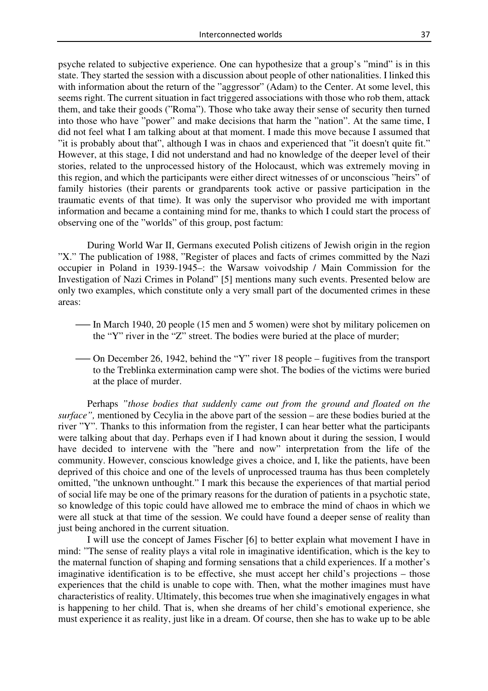psyche related to subjective experience. One can hypothesize that a group's "mind" is in this state. They started the session with a discussion about people of other nationalities. I linked this with information about the return of the "aggressor" (Adam) to the Center. At some level, this seems right. The current situation in fact triggered associations with those who rob them, attack them, and take their goods ("Roma"). Those who take away their sense of security then turned into those who have "power" and make decisions that harm the "nation". At the same time, I did not feel what I am talking about at that moment. I made this move because I assumed that "it is probably about that", although I was in chaos and experienced that "it doesn't quite fit." However, at this stage, I did not understand and had no knowledge of the deeper level of their stories, related to the unprocessed history of the Holocaust, which was extremely moving in this region, and which the participants were either direct witnesses of or unconscious "heirs" of family histories (their parents or grandparents took active or passive participation in the traumatic events of that time). It was only the supervisor who provided me with important information and became a containing mind for me, thanks to which I could start the process of observing one of the "worlds" of this group, post factum:

During World War II, Germans executed Polish citizens of Jewish origin in the region "X." The publication of 1988, "Register of places and facts of crimes committed by the Nazi occupier in Poland in 1939-1945–: the Warsaw voivodship / Main Commission for the Investigation of Nazi Crimes in Poland" [5] mentions many such events. Presented below are only two examples, which constitute only a very small part of the documented crimes in these areas:

- ⸺ In March 1940, 20 people (15 men and 5 women) were shot by military policemen on the "Y" river in the "Z" street. The bodies were buried at the place of murder;
- ⸺ On December 26, 1942, behind the "Y" river 18 people fugitives from the transport to the Treblinka extermination camp were shot. The bodies of the victims were buried at the place of murder.

 Perhaps *"those bodies that suddenly came out from the ground and floated on the surface",* mentioned by Cecylia in the above part of the session – are these bodies buried at the river "Y". Thanks to this information from the register, I can hear better what the participants were talking about that day. Perhaps even if I had known about it during the session, I would have decided to intervene with the "here and now" interpretation from the life of the community. However, conscious knowledge gives a choice, and I, like the patients, have been deprived of this choice and one of the levels of unprocessed trauma has thus been completely omitted, "the unknown unthought." I mark this because the experiences of that martial period of social life may be one of the primary reasons for the duration of patients in a psychotic state, so knowledge of this topic could have allowed me to embrace the mind of chaos in which we were all stuck at that time of the session. We could have found a deeper sense of reality than just being anchored in the current situation.

I will use the concept of James Fischer [6] to better explain what movement I have in mind: "The sense of reality plays a vital role in imaginative identification, which is the key to the maternal function of shaping and forming sensations that a child experiences. If a mother's imaginative identification is to be effective, she must accept her child's projections – those experiences that the child is unable to cope with. Then, what the mother imagines must have characteristics of reality. Ultimately, this becomes true when she imaginatively engages in what is happening to her child. That is, when she dreams of her child's emotional experience, she must experience it as reality, just like in a dream. Of course, then she has to wake up to be able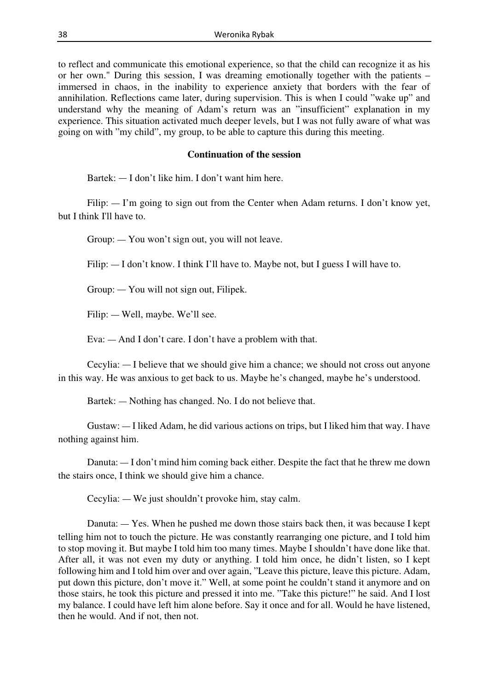to reflect and communicate this emotional experience, so that the child can recognize it as his or her own." During this session, I was dreaming emotionally together with the patients – immersed in chaos, in the inability to experience anxiety that borders with the fear of annihilation. Reflections came later, during supervision. This is when I could "wake up" and understand why the meaning of Adam's return was an "insufficient" explanation in my experience. This situation activated much deeper levels, but I was not fully aware of what was going on with "my child", my group, to be able to capture this during this meeting.

### **Continuation of the session**

Bartek: — I don't like him. I don't want him here.

Filip:  $\Gamma$  I'm going to sign out from the Center when Adam returns. I don't know yet, but I think I'll have to.

Group: — You won't sign out, you will not leave.

Filip:  $-$  I don't know. I think I'll have to. Maybe not, but I guess I will have to.

Group: — You will not sign out, Filipek.

Filip: — Well, maybe. We'll see.

Eva: — And I don't care. I don't have a problem with that.

Cecylia: — I believe that we should give him a chance; we should not cross out anyone in this way. He was anxious to get back to us. Maybe he's changed, maybe he's understood.

Bartek: — Nothing has changed. No. I do not believe that.

Gustaw: — I liked Adam, he did various actions on trips, but I liked him that way. I have nothing against him.

Danuta: — I don't mind him coming back either. Despite the fact that he threw me down the stairs once, I think we should give him a chance.

Cecylia: — We just shouldn't provoke him, stay calm.

Danuta: — Yes. When he pushed me down those stairs back then, it was because I kept telling him not to touch the picture. He was constantly rearranging one picture, and I told him to stop moving it. But maybe I told him too many times. Maybe I shouldn't have done like that. After all, it was not even my duty or anything. I told him once, he didn't listen, so I kept following him and I told him over and over again, "Leave this picture, leave this picture. Adam, put down this picture, don't move it." Well, at some point he couldn't stand it anymore and on those stairs, he took this picture and pressed it into me. "Take this picture!" he said. And I lost my balance. I could have left him alone before. Say it once and for all. Would he have listened, then he would. And if not, then not.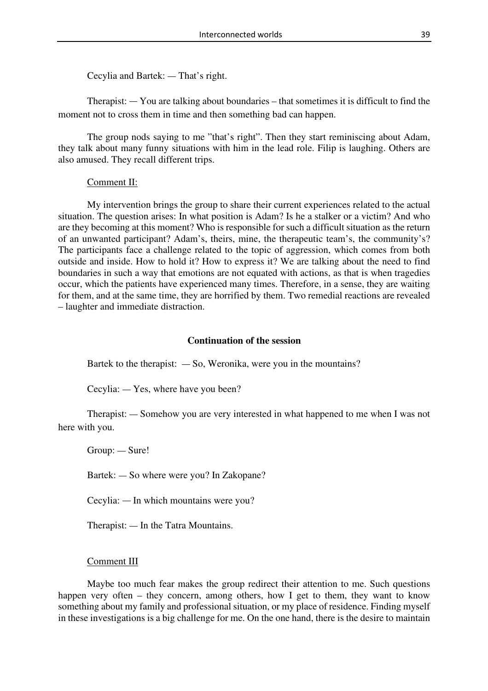Cecylia and Bartek: — That's right.

Therapist: — You are talking about boundaries – that sometimes it is difficult to find the moment not to cross them in time and then something bad can happen.

The group nods saying to me "that's right". Then they start reminiscing about Adam, they talk about many funny situations with him in the lead role. Filip is laughing. Others are also amused. They recall different trips.

# Comment II:

 My intervention brings the group to share their current experiences related to the actual situation. The question arises: In what position is Adam? Is he a stalker or a victim? And who are they becoming at this moment? Who is responsible for such a difficult situation as the return of an unwanted participant? Adam's, theirs, mine, the therapeutic team's, the community's? The participants face a challenge related to the topic of aggression, which comes from both outside and inside. How to hold it? How to express it? We are talking about the need to find boundaries in such a way that emotions are not equated with actions, as that is when tragedies occur, which the patients have experienced many times. Therefore, in a sense, they are waiting for them, and at the same time, they are horrified by them. Two remedial reactions are revealed – laughter and immediate distraction.

# **Continuation of the session**

Bartek to the therapist:  $-$  So, Weronika, were you in the mountains?

Cecylia: — Yes, where have you been?

Therapist: — Somehow you are very interested in what happened to me when I was not here with you.

Group: — Sure!

Bartek: — So where were you? In Zakopane?

Cecylia: — In which mountains were you?

Therapist: — In the Tatra Mountains.

# Comment III

Maybe too much fear makes the group redirect their attention to me. Such questions happen very often – they concern, among others, how I get to them, they want to know something about my family and professional situation, or my place of residence. Finding myself in these investigations is a big challenge for me. On the one hand, there is the desire to maintain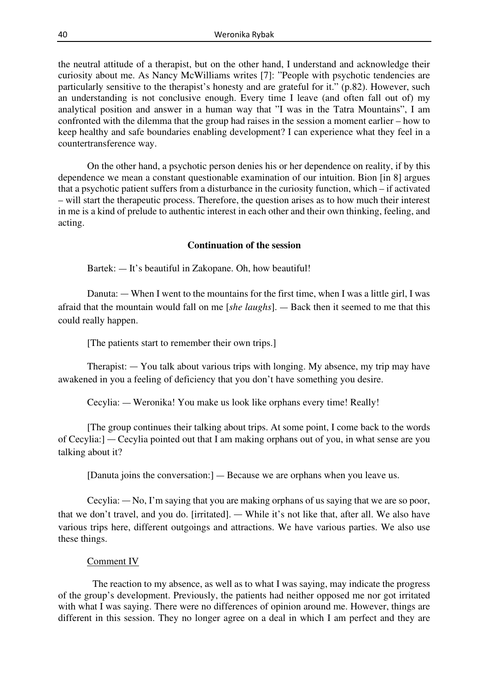the neutral attitude of a therapist, but on the other hand, I understand and acknowledge their curiosity about me. As Nancy McWilliams writes [7]: "People with psychotic tendencies are particularly sensitive to the therapist's honesty and are grateful for it." (p.82). However, such an understanding is not conclusive enough. Every time I leave (and often fall out of) my analytical position and answer in a human way that "I was in the Tatra Mountains", I am confronted with the dilemma that the group had raises in the session a moment earlier – how to keep healthy and safe boundaries enabling development? I can experience what they feel in a countertransference way.

On the other hand, a psychotic person denies his or her dependence on reality, if by this dependence we mean a constant questionable examination of our intuition. Bion [in 8] argues that a psychotic patient suffers from a disturbance in the curiosity function, which – if activated – will start the therapeutic process. Therefore, the question arises as to how much their interest in me is a kind of prelude to authentic interest in each other and their own thinking, feeling, and acting.

### **Continuation of the session**

Bartek: — It's beautiful in Zakopane. Oh, how beautiful!

Danuta: — When I went to the mountains for the first time, when I was a little girl, I was afraid that the mountain would fall on me [*she laughs*]. — Back then it seemed to me that this could really happen.

[The patients start to remember their own trips.]

Therapist: — You talk about various trips with longing. My absence, my trip may have awakened in you a feeling of deficiency that you don't have something you desire.

Cecylia: — Weronika! You make us look like orphans every time! Really!

[The group continues their talking about trips. At some point, I come back to the words of Cecylia:] — Cecylia pointed out that I am making orphans out of you, in what sense are you talking about it?

[Danuta joins the conversation:] — Because we are orphans when you leave us.

Cecylia: — No, I'm saying that you are making orphans of us saying that we are so poor, that we don't travel, and you do. [irritated]. — While it's not like that, after all. We also have various trips here, different outgoings and attractions. We have various parties. We also use these things.

### Comment IV

 The reaction to my absence, as well as to what I was saying, may indicate the progress of the group's development. Previously, the patients had neither opposed me nor got irritated with what I was saying. There were no differences of opinion around me. However, things are different in this session. They no longer agree on a deal in which I am perfect and they are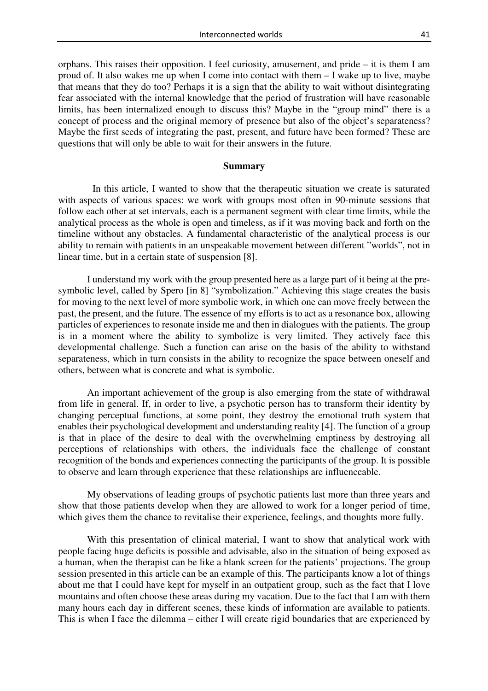orphans. This raises their opposition. I feel curiosity, amusement, and pride – it is them I am proud of. It also wakes me up when I come into contact with them – I wake up to live, maybe that means that they do too? Perhaps it is a sign that the ability to wait without disintegrating fear associated with the internal knowledge that the period of frustration will have reasonable limits, has been internalized enough to discuss this? Maybe in the "group mind" there is a concept of process and the original memory of presence but also of the object's separateness? Maybe the first seeds of integrating the past, present, and future have been formed? These are questions that will only be able to wait for their answers in the future.

### **Summary**

 In this article, I wanted to show that the therapeutic situation we create is saturated with aspects of various spaces: we work with groups most often in 90-minute sessions that follow each other at set intervals, each is a permanent segment with clear time limits, while the analytical process as the whole is open and timeless, as if it was moving back and forth on the timeline without any obstacles. A fundamental characteristic of the analytical process is our ability to remain with patients in an unspeakable movement between different "worlds", not in linear time, but in a certain state of suspension [8].

I understand my work with the group presented here as a large part of it being at the presymbolic level, called by Spero [in 8] "symbolization." Achieving this stage creates the basis for moving to the next level of more symbolic work, in which one can move freely between the past, the present, and the future. The essence of my efforts is to act as a resonance box, allowing particles of experiences to resonate inside me and then in dialogues with the patients. The group is in a moment where the ability to symbolize is very limited. They actively face this developmental challenge. Such a function can arise on the basis of the ability to withstand separateness, which in turn consists in the ability to recognize the space between oneself and others, between what is concrete and what is symbolic.

An important achievement of the group is also emerging from the state of withdrawal from life in general. If, in order to live, a psychotic person has to transform their identity by changing perceptual functions, at some point, they destroy the emotional truth system that enables their psychological development and understanding reality [4]. The function of a group is that in place of the desire to deal with the overwhelming emptiness by destroying all perceptions of relationships with others, the individuals face the challenge of constant recognition of the bonds and experiences connecting the participants of the group. It is possible to observe and learn through experience that these relationships are influenceable.

My observations of leading groups of psychotic patients last more than three years and show that those patients develop when they are allowed to work for a longer period of time, which gives them the chance to revitalise their experience, feelings, and thoughts more fully.

With this presentation of clinical material, I want to show that analytical work with people facing huge deficits is possible and advisable, also in the situation of being exposed as a human, when the therapist can be like a blank screen for the patients' projections. The group session presented in this article can be an example of this. The participants know a lot of things about me that I could have kept for myself in an outpatient group, such as the fact that I love mountains and often choose these areas during my vacation. Due to the fact that I am with them many hours each day in different scenes, these kinds of information are available to patients. This is when I face the dilemma – either I will create rigid boundaries that are experienced by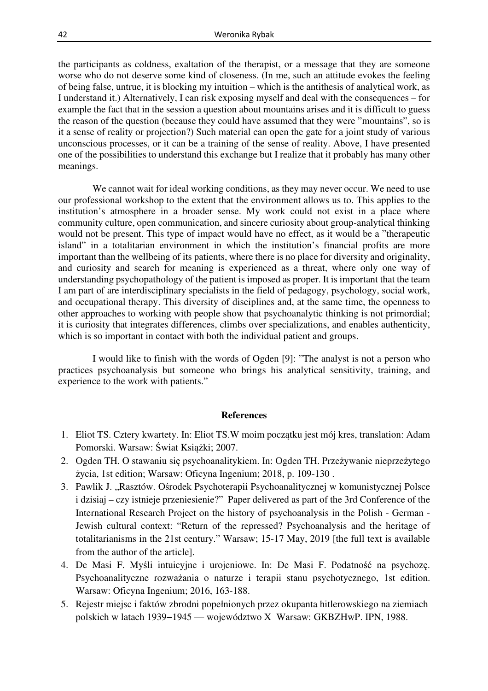the participants as coldness, exaltation of the therapist, or a message that they are someone worse who do not deserve some kind of closeness. (In me, such an attitude evokes the feeling of being false, untrue, it is blocking my intuition – which is the antithesis of analytical work, as I understand it.) Alternatively, I can risk exposing myself and deal with the consequences – for example the fact that in the session a question about mountains arises and it is difficult to guess the reason of the question (because they could have assumed that they were "mountains", so is it a sense of reality or projection?) Such material can open the gate for a joint study of various unconscious processes, or it can be a training of the sense of reality. Above, I have presented one of the possibilities to understand this exchange but I realize that it probably has many other meanings.

 We cannot wait for ideal working conditions, as they may never occur. We need to use our professional workshop to the extent that the environment allows us to. This applies to the institution's atmosphere in a broader sense. My work could not exist in a place where community culture, open communication, and sincere curiosity about group-analytical thinking would not be present. This type of impact would have no effect, as it would be a "therapeutic island" in a totalitarian environment in which the institution's financial profits are more important than the wellbeing of its patients, where there is no place for diversity and originality, and curiosity and search for meaning is experienced as a threat, where only one way of understanding psychopathology of the patient is imposed as proper. It is important that the team I am part of are interdisciplinary specialists in the field of pedagogy, psychology, social work, and occupational therapy. This diversity of disciplines and, at the same time, the openness to other approaches to working with people show that psychoanalytic thinking is not primordial; it is curiosity that integrates differences, climbs over specializations, and enables authenticity, which is so important in contact with both the individual patient and groups.

 I would like to finish with the words of Ogden [9]: "The analyst is not a person who practices psychoanalysis but someone who brings his analytical sensitivity, training, and experience to the work with patients."

### **References**

- 1. Eliot TS. Cztery kwartety. In: Eliot TS.W moim początku jest mój kres, translation: Adam Pomorski. Warsaw: Świat Książki; 2007.
- 2. Ogden TH. O stawaniu się psychoanalitykiem. In: Ogden TH. Przeżywanie nieprzeżytego życia, 1st edition; Warsaw: Oficyna Ingenium; 2018, p. 109-130 .
- 3. Pawlik J. "Rasztów. Ośrodek Psychoterapii Psychoanalitycznej w komunistycznej Polsce i dzisiaj – czy istnieje przeniesienie?" Paper delivered as part of the 3rd Conference of the International Research Project on the history of psychoanalysis in the Polish - German - Jewish cultural context: "Return of the repressed? Psychoanalysis and the heritage of totalitarianisms in the 21st century." Warsaw; 15-17 May, 2019 [the full text is available from the author of the article].
- 4. De Masi F. Myśli intuicyjne i urojeniowe. In: De Masi F. Podatność na psychozę. Psychoanalityczne rozważania o naturze i terapii stanu psychotycznego, 1st edition. Warsaw: Oficyna Ingenium; 2016, 163-188.
- 5. Rejestr miejsc i faktów zbrodni popełnionych przez okupanta hitlerowskiego na ziemiach polskich w latach 1939−1945 — województwo X Warsaw: GKBZHwP. IPN, 1988.